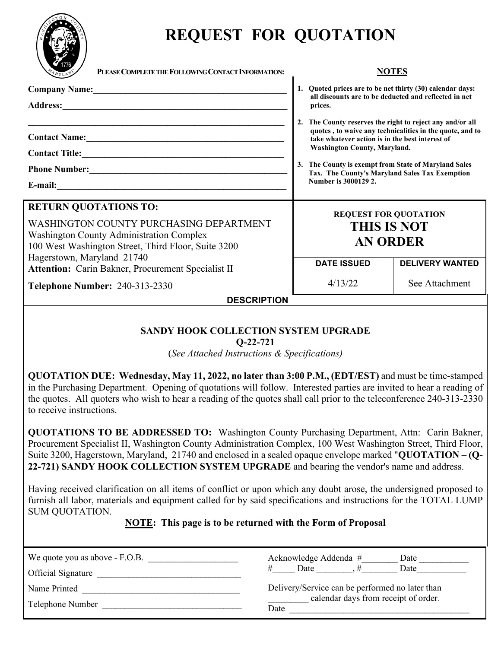

to receive instructions.

# **REQUEST FOR QUOTATION**

| PLEASE COMPLETE THE FOLLOWING CONTACT INFORMATION:<br>MARYLAND                                                                                                                                                                                                                                                                                                                                                                                                   | <b>NOTES</b>                                                                                                                                                                                                                                                                                                                                                                                                                                                                |                        |  |
|------------------------------------------------------------------------------------------------------------------------------------------------------------------------------------------------------------------------------------------------------------------------------------------------------------------------------------------------------------------------------------------------------------------------------------------------------------------|-----------------------------------------------------------------------------------------------------------------------------------------------------------------------------------------------------------------------------------------------------------------------------------------------------------------------------------------------------------------------------------------------------------------------------------------------------------------------------|------------------------|--|
|                                                                                                                                                                                                                                                                                                                                                                                                                                                                  | 1. Quoted prices are to be net thirty (30) calendar days:<br>all discounts are to be deducted and reflected in net<br>prices.<br>2. The County reserves the right to reject any and/or all<br>quotes, to waive any technicalities in the quote, and to<br>take whatever action is in the best interest of<br>Washington County, Maryland.<br>3. The County is exempt from State of Maryland Sales<br>Tax. The County's Maryland Sales Tax Exemption<br>Number is 3000129 2. |                        |  |
| Phone Number:<br><u> </u>                                                                                                                                                                                                                                                                                                                                                                                                                                        |                                                                                                                                                                                                                                                                                                                                                                                                                                                                             |                        |  |
| <b>RETURN QUOTATIONS TO:</b><br>WASHINGTON COUNTY PURCHASING DEPARTMENT<br><b>Washington County Administration Complex</b><br>100 West Washington Street, Third Floor, Suite 3200<br>Hagerstown, Maryland 21740<br>Attention: Carin Bakner, Procurement Specialist II                                                                                                                                                                                            | <b>REQUEST FOR QUOTATION</b><br><b>THIS IS NOT</b><br><b>AN ORDER</b>                                                                                                                                                                                                                                                                                                                                                                                                       |                        |  |
|                                                                                                                                                                                                                                                                                                                                                                                                                                                                  | <b>DATE ISSUED</b>                                                                                                                                                                                                                                                                                                                                                                                                                                                          | <b>DELIVERY WANTED</b> |  |
| <b>Telephone Number: 240-313-2330</b>                                                                                                                                                                                                                                                                                                                                                                                                                            | 4/13/22                                                                                                                                                                                                                                                                                                                                                                                                                                                                     | See Attachment         |  |
| <b>DESCRIPTION</b>                                                                                                                                                                                                                                                                                                                                                                                                                                               |                                                                                                                                                                                                                                                                                                                                                                                                                                                                             |                        |  |
| <b>SANDY HOOK COLLECTION SYSTEM UPGRADE</b><br>$O-22-721$<br>(See Attached Instructions & Specifications)<br>QUOTATION DUE: Wednesday, May 11, 2022, no later than 3:00 P.M., (EDT/EST) and must be time-stamped<br>in the Purchasing Department. Opening of quotations will follow. Interested parties are invited to hear a reading of<br>the quotes. All quoters who wish to hear a reading of the quotes shall call prior to the teleconference 240-313-2330 |                                                                                                                                                                                                                                                                                                                                                                                                                                                                             |                        |  |

**QUOTATIONS TO BE ADDRESSED TO:** Washington County Purchasing Department, Attn: Carin Bakner, Procurement Specialist II, Washington County Administration Complex, 100 West Washington Street, Third Floor, Suite 3200, Hagerstown, Maryland, 21740 and enclosed in a sealed opaque envelope marked "**QUOTATION – (Q-22-721) SANDY HOOK COLLECTION SYSTEM UPGRADE** and bearing the vendor's name and address.

Having received clarification on all items of conflict or upon which any doubt arose, the undersigned proposed to furnish all labor, materials and equipment called for by said specifications and instructions for the TOTAL LUMP SUM QUOTATION.

#### **NOTE: This page is to be returned with the Form of Proposal**

| We quote you as above - F.O.B.<br>Official Signature | Acknowledge Addenda #<br>Date<br>Date<br>Date                                           |
|------------------------------------------------------|-----------------------------------------------------------------------------------------|
| Name Printed                                         | Delivery/Service can be performed no later than<br>calendar days from receipt of order. |
| Telephone Number                                     | Date                                                                                    |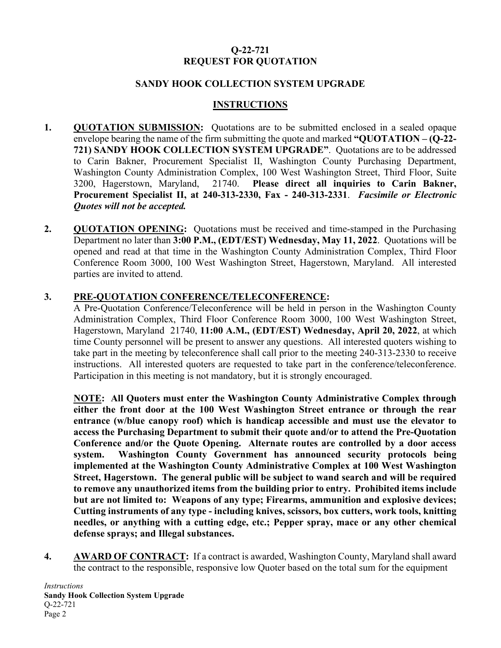### **Q-22-721 REQUEST FOR QUOTATION**

#### **SANDY HOOK COLLECTION SYSTEM UPGRADE**

#### **INSTRUCTIONS**

- **1. QUOTATION SUBMISSION:** Quotations are to be submitted enclosed in a sealed opaque envelope bearing the name of the firm submitting the quote and marked **"QUOTATION – (Q-22- 721) SANDY HOOK COLLECTION SYSTEM UPGRADE"**. Quotations are to be addressed to Carin Bakner, Procurement Specialist II, Washington County Purchasing Department, Washington County Administration Complex, 100 West Washington Street, Third Floor, Suite 3200, Hagerstown, Maryland, 21740. **Please direct all inquiries to Carin Bakner, Procurement Specialist II, at 240-313-2330, Fax - 240-313-2331**. *Facsimile or Electronic Quotes will not be accepted.*
- **2. QUOTATION OPENING:** Quotations must be received and time-stamped in the Purchasing Department no later than **3:00 P.M., (EDT/EST) Wednesday, May 11, 2022**. Quotations will be opened and read at that time in the Washington County Administration Complex, Third Floor Conference Room 3000, 100 West Washington Street, Hagerstown, Maryland. All interested parties are invited to attend.

#### **3. PRE-QUOTATION CONFERENCE/TELECONFERENCE:**

A Pre-Quotation Conference/Teleconference will be held in person in the Washington County Administration Complex, Third Floor Conference Room 3000, 100 West Washington Street, Hagerstown, Maryland 21740, **11:00 A.M., (EDT/EST) Wednesday, April 20, 2022**, at which time County personnel will be present to answer any questions. All interested quoters wishing to take part in the meeting by teleconference shall call prior to the meeting 240-313-2330 to receive instructions. All interested quoters are requested to take part in the conference/teleconference. Participation in this meeting is not mandatory, but it is strongly encouraged.

**NOTE: All Quoters must enter the Washington County Administrative Complex through either the front door at the 100 West Washington Street entrance or through the rear entrance (w/blue canopy roof) which is handicap accessible and must use the elevator to access the Purchasing Department to submit their quote and/or to attend the Pre-Quotation Conference and/or the Quote Opening. Alternate routes are controlled by a door access system. Washington County Government has announced security protocols being implemented at the Washington County Administrative Complex at 100 West Washington Street, Hagerstown. The general public will be subject to wand search and will be required to remove any unauthorized items from the building prior to entry. Prohibited items include but are not limited to: Weapons of any type; Firearms, ammunition and explosive devices; Cutting instruments of any type - including knives, scissors, box cutters, work tools, knitting needles, or anything with a cutting edge, etc.; Pepper spray, mace or any other chemical defense sprays; and Illegal substances.**

**4. AWARD OF CONTRACT:** If a contract is awarded, Washington County, Maryland shall award the contract to the responsible, responsive low Quoter based on the total sum for the equipment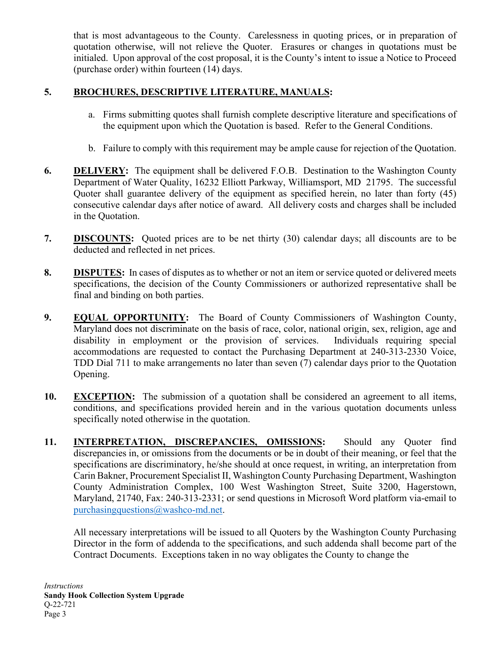that is most advantageous to the County. Carelessness in quoting prices, or in preparation of quotation otherwise, will not relieve the Quoter. Erasures or changes in quotations must be initialed. Upon approval of the cost proposal, it is the County's intent to issue a Notice to Proceed (purchase order) within fourteen (14) days.

#### **5. BROCHURES, DESCRIPTIVE LITERATURE, MANUALS:**

- a. Firms submitting quotes shall furnish complete descriptive literature and specifications of the equipment upon which the Quotation is based. Refer to the General Conditions.
- b. Failure to comply with this requirement may be ample cause for rejection of the Quotation.
- **6. DELIVERY:** The equipment shall be delivered F.O.B. Destination to the Washington County Department of Water Quality, 16232 Elliott Parkway, Williamsport, MD 21795. The successful Quoter shall guarantee delivery of the equipment as specified herein, no later than forty (45) consecutive calendar days after notice of award. All delivery costs and charges shall be included in the Quotation.
- **7. DISCOUNTS:** Quoted prices are to be net thirty (30) calendar days; all discounts are to be deducted and reflected in net prices.
- **8. DISPUTES:** In cases of disputes as to whether or not an item or service quoted or delivered meets specifications, the decision of the County Commissioners or authorized representative shall be final and binding on both parties.
- **9. EQUAL OPPORTUNITY:** The Board of County Commissioners of Washington County, Maryland does not discriminate on the basis of race, color, national origin, sex, religion, age and disability in employment or the provision of services. Individuals requiring special accommodations are requested to contact the Purchasing Department at 240-313-2330 Voice, TDD Dial 711 to make arrangements no later than seven (7) calendar days prior to the Quotation Opening.
- **10. EXCEPTION:** The submission of a quotation shall be considered an agreement to all items, conditions, and specifications provided herein and in the various quotation documents unless specifically noted otherwise in the quotation.
- **11. INTERPRETATION, DISCREPANCIES, OMISSIONS:** Should any Quoter find discrepancies in, or omissions from the documents or be in doubt of their meaning, or feel that the specifications are discriminatory, he/she should at once request, in writing, an interpretation from Carin Bakner, Procurement Specialist II, Washington County Purchasing Department, Washington County Administration Complex, 100 West Washington Street, Suite 3200, Hagerstown, Maryland, 21740, Fax: 240-313-2331; or send questions in Microsoft Word platform via-email to [purchasingquestions@washco-md.net.](mailto:purchasingquestions@washco-md.net)

All necessary interpretations will be issued to all Quoters by the Washington County Purchasing Director in the form of addenda to the specifications, and such addenda shall become part of the Contract Documents. Exceptions taken in no way obligates the County to change the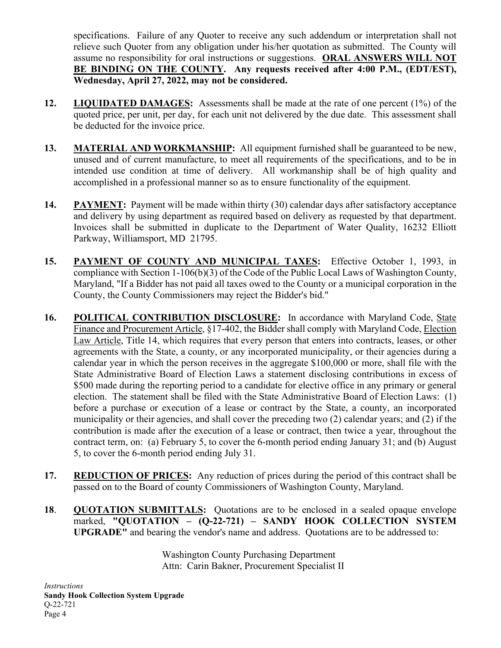specifications. Failure of any Quoter to receive any such addendum or interpretation shall not relieve such Quoter from any obligation under his/her quotation as submitted. The County will assume no responsibility for oral instructions or suggestions. **ORAL ANSWERS WILL NOT BE BINDING ON THE COUNTY. Any requests received after 4:00 P.M., (EDT/EST), Wednesday, April 27, 2022, may not be considered.**

- **12. LIQUIDATED DAMAGES:** Assessments shall be made at the rate of one percent (1%) of the quoted price, per unit, per day, for each unit not delivered by the due date. This assessment shall be deducted for the invoice price.
- **13. MATERIAL AND WORKMANSHIP:** All equipment furnished shall be guaranteed to be new, unused and of current manufacture, to meet all requirements of the specifications, and to be in intended use condition at time of delivery. All workmanship shall be of high quality and accomplished in a professional manner so as to ensure functionality of the equipment.
- 14. **PAYMENT:** Payment will be made within thirty (30) calendar days after satisfactory acceptance and delivery by using department as required based on delivery as requested by that department. Invoices shall be submitted in duplicate to the Department of Water Quality, 16232 Elliott Parkway, Williamsport, MD 21795.
- **15. PAYMENT OF COUNTY AND MUNICIPAL TAXES:** Effective October 1, 1993, in compliance with Section 1-106(b)(3) of the Code of the Public Local Laws of Washington County, Maryland, "If a Bidder has not paid all taxes owed to the County or a municipal corporation in the County, the County Commissioners may reject the Bidder's bid."
- **16. POLITICAL CONTRIBUTION DISCLOSURE:** In accordance with Maryland Code, State Finance and Procurement Article, §17-402, the Bidder shall comply with Maryland Code, Election Law Article, Title 14, which requires that every person that enters into contracts, leases, or other agreements with the State, a county, or any incorporated municipality, or their agencies during a calendar year in which the person receives in the aggregate \$100,000 or more, shall file with the State Administrative Board of Election Laws a statement disclosing contributions in excess of \$500 made during the reporting period to a candidate for elective office in any primary or general election. The statement shall be filed with the State Administrative Board of Election Laws: (1) before a purchase or execution of a lease or contract by the State, a county, an incorporated municipality or their agencies, and shall cover the preceding two (2) calendar years; and (2) if the contribution is made after the execution of a lease or contract, then twice a year, throughout the contract term, on: (a) February 5, to cover the 6-month period ending January 31; and (b) August 5, to cover the 6-month period ending July 31.
- **17. REDUCTION OF PRICES:** Any reduction of prices during the period of this contract shall be passed on to the Board of county Commissioners of Washington County, Maryland.
- **18**. **QUOTATION SUBMITTALS:** Quotations are to be enclosed in a sealed opaque envelope marked, **"QUOTATION – (Q-22-721) – SANDY HOOK COLLECTION SYSTEM UPGRADE"** and bearing the vendor's name and address. Quotations are to be addressed to:

Washington County Purchasing Department Attn: Carin Bakner, Procurement Specialist II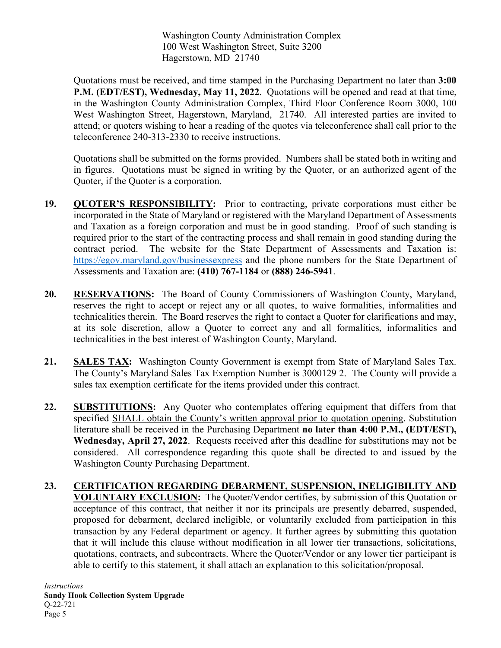Washington County Administration Complex 100 West Washington Street, Suite 3200 Hagerstown, MD 21740

Quotations must be received, and time stamped in the Purchasing Department no later than **3:00 P.M. (EDT/EST), Wednesday, May 11, 2022**. Quotations will be opened and read at that time, in the Washington County Administration Complex, Third Floor Conference Room 3000, 100 West Washington Street, Hagerstown, Maryland, 21740. All interested parties are invited to attend; or quoters wishing to hear a reading of the quotes via teleconference shall call prior to the teleconference 240-313-2330 to receive instructions.

Quotations shall be submitted on the forms provided. Numbers shall be stated both in writing and in figures. Quotations must be signed in writing by the Quoter, or an authorized agent of the Quoter, if the Quoter is a corporation.

- **19. QUOTER'S RESPONSIBILITY:** Prior to contracting, private corporations must either be incorporated in the State of Maryland or registered with the Maryland Department of Assessments and Taxation as a foreign corporation and must be in good standing. Proof of such standing is required prior to the start of the contracting process and shall remain in good standing during the contract period. The website for the State Department of Assessments and Taxation is: <https://egov.maryland.gov/businessexpress> and the phone numbers for the State Department of Assessments and Taxation are: **(410) 767-1184** or **(888) 246-5941**.
- **20. RESERVATIONS:** The Board of County Commissioners of Washington County, Maryland, reserves the right to accept or reject any or all quotes, to waive formalities, informalities and technicalities therein. The Board reserves the right to contact a Quoter for clarifications and may, at its sole discretion, allow a Quoter to correct any and all formalities, informalities and technicalities in the best interest of Washington County, Maryland.
- **21. SALES TAX:** Washington County Government is exempt from State of Maryland Sales Tax. The County's Maryland Sales Tax Exemption Number is 3000129 2. The County will provide a sales tax exemption certificate for the items provided under this contract.
- **22. SUBSTITUTIONS:** Any Quoter who contemplates offering equipment that differs from that specified SHALL obtain the County's written approval prior to quotation opening. Substitution literature shall be received in the Purchasing Department **no later than 4:00 P.M., (EDT/EST), Wednesday, April 27, 2022**. Requests received after this deadline for substitutions may not be considered.All correspondence regarding this quote shall be directed to and issued by the Washington County Purchasing Department.
- **23. CERTIFICATION REGARDING DEBARMENT, SUSPENSION, INELIGIBILITY AND VOLUNTARY EXCLUSION:** The Quoter/Vendor certifies, by submission of this Quotation or acceptance of this contract, that neither it nor its principals are presently debarred, suspended, proposed for debarment, declared ineligible, or voluntarily excluded from participation in this transaction by any Federal department or agency. It further agrees by submitting this quotation that it will include this clause without modification in all lower tier transactions, solicitations, quotations, contracts, and subcontracts. Where the Quoter/Vendor or any lower tier participant is able to certify to this statement, it shall attach an explanation to this solicitation/proposal.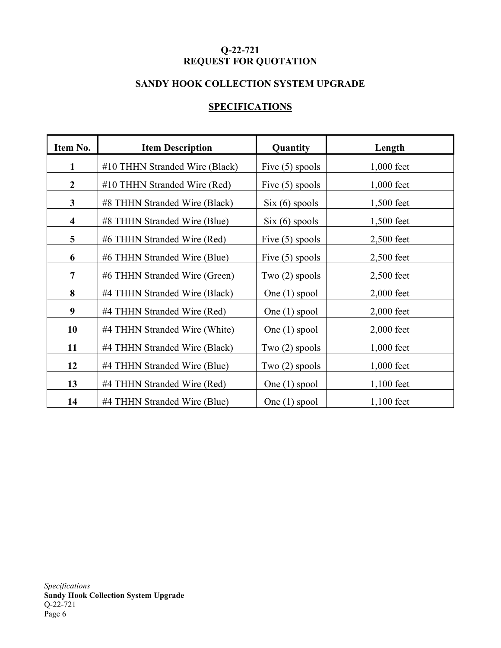## **Q-22-721 REQUEST FOR QUOTATION**

## **SANDY HOOK COLLECTION SYSTEM UPGRADE**

#### **SPECIFICATIONS**

| Item No.                | <b>Item Description</b>        | Quantity                         | Length       |
|-------------------------|--------------------------------|----------------------------------|--------------|
| $\mathbf{1}$            | #10 THHN Stranded Wire (Black) | Five $(5)$ spools                | $1,000$ feet |
| $\boldsymbol{2}$        | #10 THHN Stranded Wire (Red)   | Five $(5)$ spools                | $1,000$ feet |
| $\mathbf{3}$            | #8 THHN Stranded Wire (Black)  | $\text{Six } (6) \text{ spools}$ | 1,500 feet   |
| $\overline{\mathbf{4}}$ | #8 THHN Stranded Wire (Blue)   | $\text{Six } (6) \text{ spools}$ | $1,500$ feet |
| 5                       | #6 THHN Stranded Wire (Red)    | Five $(5)$ spools                | $2,500$ feet |
| 6                       | #6 THHN Stranded Wire (Blue)   | Five $(5)$ spools                | 2,500 feet   |
| $\overline{7}$          | #6 THHN Stranded Wire (Green)  | Two $(2)$ spools                 | $2,500$ feet |
| 8                       | #4 THHN Stranded Wire (Black)  | One $(1)$ spool                  | $2,000$ feet |
| 9                       | #4 THHN Stranded Wire (Red)    | One $(1)$ spool                  | $2,000$ feet |
| 10                      | #4 THHN Stranded Wire (White)  | One $(1)$ spool                  | $2,000$ feet |
| 11                      | #4 THHN Stranded Wire (Black)  | Two $(2)$ spools                 | $1,000$ feet |
| 12                      | #4 THHN Stranded Wire (Blue)   | Two $(2)$ spools                 | $1,000$ feet |
| 13                      | #4 THHN Stranded Wire (Red)    | One $(1)$ spool                  | $1,100$ feet |
| 14                      | #4 THHN Stranded Wire (Blue)   | One $(1)$ spool                  | $1,100$ feet |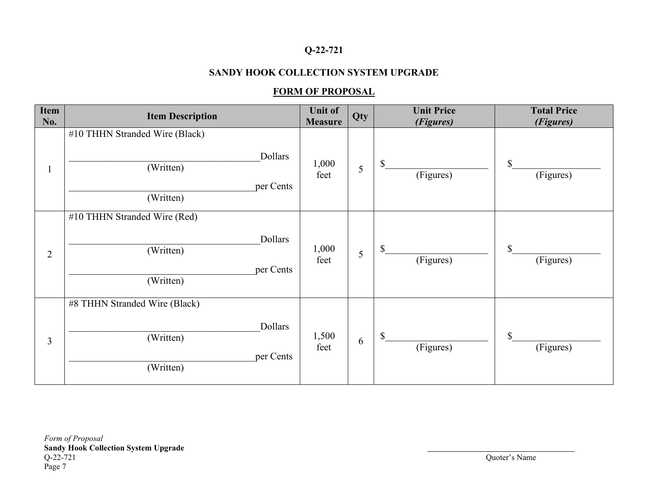## **Q-22-721**

## **SANDY HOOK COLLECTION SYSTEM UPGRADE**

### **FORM OF PROPOSAL**

| Item<br>No.    | <b>Item Description</b>                                                          | <b>Unit of</b><br><b>Measure</b> | Qty | <b>Unit Price</b><br>(Figures) | <b>Total Price</b><br>(Figures) |
|----------------|----------------------------------------------------------------------------------|----------------------------------|-----|--------------------------------|---------------------------------|
|                | #10 THHN Stranded Wire (Black)<br>Dollars<br>(Written)<br>per Cents<br>(Written) | 1,000<br>feet                    | 5   | \$<br>(Figures)                | $\mathcal{S}$<br>(Figures)      |
| $\overline{2}$ | #10 THHN Stranded Wire (Red)<br>Dollars<br>(Written)<br>per Cents<br>(Written)   | 1,000<br>feet                    | 5   | $\mathbb{S}$<br>(Figures)      | $\mathbf S$<br>(Figures)        |
| $\overline{3}$ | #8 THHN Stranded Wire (Black)<br>Dollars<br>(Written)<br>per Cents<br>(Written)  | 1,500<br>feet                    | 6   | $\mathbb{S}$<br>(Figures)      | $\mathcal{S}$<br>(Figures)      |

*Form of Proposal* **Sandy Hook Collection System Upgrade** Page 7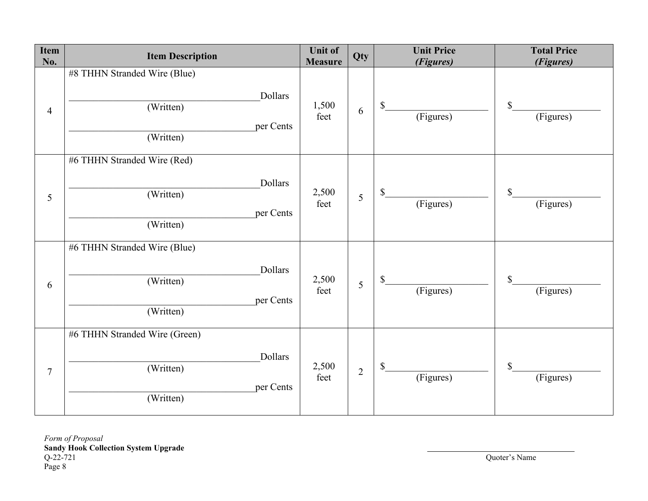| Item<br>No.    | <b>Item Description</b>                                                         | <b>Unit of</b><br><b>Measure</b> | Qty            | <b>Unit Price</b><br>(Figures) | <b>Total Price</b><br>(Figures) |
|----------------|---------------------------------------------------------------------------------|----------------------------------|----------------|--------------------------------|---------------------------------|
| $\overline{4}$ | #8 THHN Stranded Wire (Blue)<br>Dollars<br>(Written)<br>per Cents<br>(Written)  | 1,500<br>feet                    | 6              | $\mathbb{S}$<br>(Figures)      | \$<br>(Figures)                 |
| 5              | #6 THHN Stranded Wire (Red)<br>Dollars<br>(Written)<br>per Cents<br>(Written)   | 2,500<br>feet                    | 5              | $\mathbb{S}$<br>(Figures)      | $\mathcal{S}$<br>(Figures)      |
| 6              | #6 THHN Stranded Wire (Blue)<br>Dollars<br>(Written)<br>per Cents<br>(Written)  | 2,500<br>feet                    | 5              | \$<br>(Figures)                | $\mathbb{S}$<br>(Figures)       |
| $\overline{7}$ | #6 THHN Stranded Wire (Green)<br>Dollars<br>(Written)<br>per Cents<br>(Written) | 2,500<br>feet                    | $\overline{2}$ | $\mathbb{S}$<br>(Figures)      | $\mathbb{S}$<br>(Figures)       |

*Form of Proposal* **Sandy Hook Collection System Upgrade**  Q-22-721<br>Page 8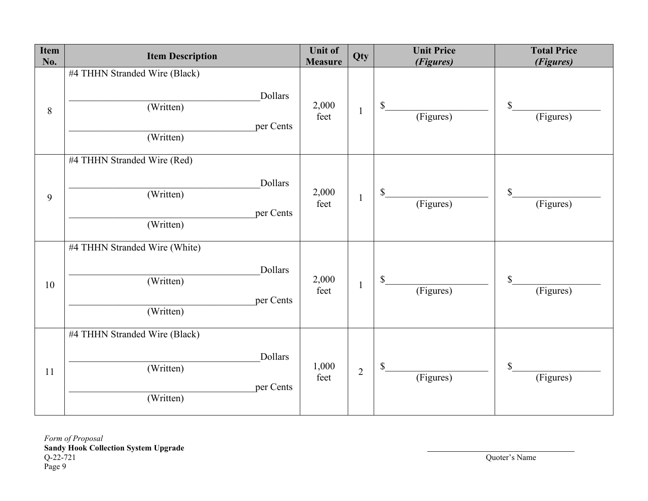| Item<br>No. | <b>Item Description</b>                                                         | <b>Unit of</b><br><b>Measure</b> | Qty            | <b>Unit Price</b><br>(Figures) | <b>Total Price</b><br>(Figures) |
|-------------|---------------------------------------------------------------------------------|----------------------------------|----------------|--------------------------------|---------------------------------|
| $8\,$       | #4 THHN Stranded Wire (Black)<br>Dollars<br>(Written)<br>per Cents<br>(Written) | 2,000<br>feet                    | $\mathbf{1}$   | $\mathbb{S}$<br>(Figures)      | $\mathbb{S}$<br>(Figures)       |
| 9           | #4 THHN Stranded Wire (Red)<br>Dollars<br>(Written)<br>per Cents<br>(Written)   | 2,000<br>feet                    | $\mathbf{1}$   | \$<br>(Figures)                | $\mathcal{S}$<br>(Figures)      |
| 10          | #4 THHN Stranded Wire (White)<br>Dollars<br>(Written)<br>per Cents<br>(Written) | 2,000<br>feet                    | $\mathbf{1}$   | \$<br>(Figures)                | \$<br>(Figures)                 |
| 11          | #4 THHN Stranded Wire (Black)<br>Dollars<br>(Written)<br>per Cents<br>(Written) | 1,000<br>feet                    | $\overline{2}$ | $\mathbb{S}$<br>(Figures)      | $\mathbb{S}$<br>(Figures)       |

*Form of Proposal* **Sandy Hook Collection System Upgrade**  Q-22-721<br>Page 9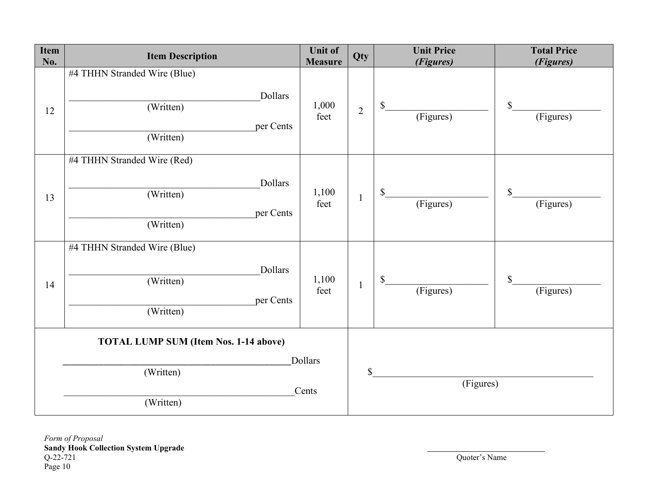| Item<br>No.                                  | <b>Item Description</b>                                                        | <b>Unit of</b><br><b>Measure</b> | <b>Qty</b>     | <b>Unit Price</b><br>(Figures) | <b>Total Price</b><br>(Figures) |
|----------------------------------------------|--------------------------------------------------------------------------------|----------------------------------|----------------|--------------------------------|---------------------------------|
| 12                                           | #4 THHN Stranded Wire (Blue)<br>Dollars<br>(Written)<br>per Cents<br>(Written) | 1,000<br>feet                    | $\overline{2}$ | \$<br>(Figures)                | \$<br>(Figures)                 |
| 13                                           | #4 THHN Stranded Wire (Red)<br>Dollars<br>(Written)<br>per Cents<br>(Written)  | 1,100<br>feet                    | $\mathbf{1}$   | \$<br>(Figures)                | \$<br>(Figures)                 |
| 14                                           | #4 THHN Stranded Wire (Blue)<br>Dollars<br>(Written)<br>per Cents<br>(Written) | 1,100<br>feet                    | $\mathbf{1}$   | \$<br>(Figures)                | \$<br>(Figures)                 |
| <b>TOTAL LUMP SUM (Item Nos. 1-14 above)</b> |                                                                                |                                  |                |                                |                                 |
|                                              | (Written)                                                                      | Dollars<br>Cents                 |                | \$<br>(Figures)                |                                 |
|                                              | (Written)                                                                      |                                  |                |                                |                                 |

*Form of Proposal* **Sandy Hook Collection System Upgrade**   $Q-22-721$ <br>Page 10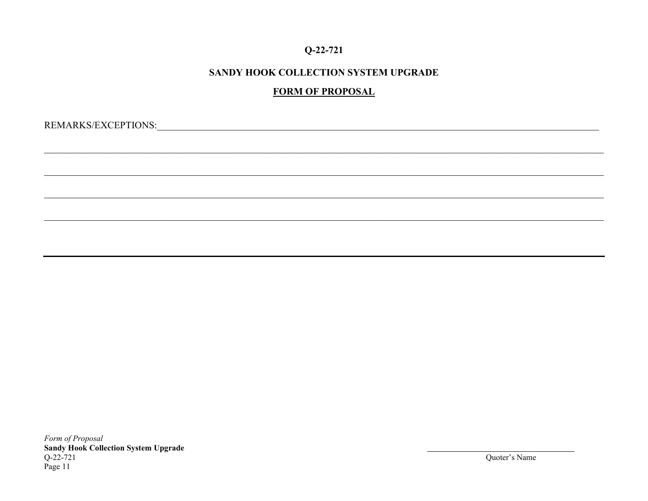### $Q-22-721$

## SANDY HOOK COLLECTION SYSTEM UPGRADE

## **FORM OF PROPOSAL**

Form of Proposal **Sandy Hook Collection System Upgrade**  $Q-22-721$ Page 11